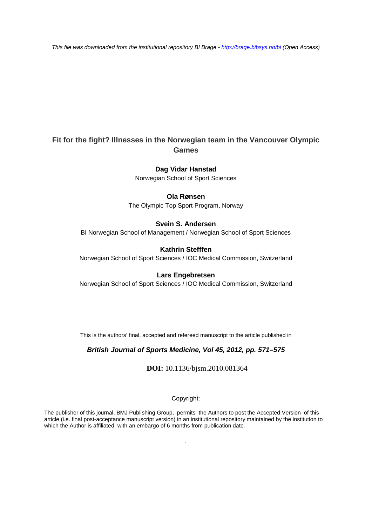*This file was downloaded from the institutional repository BI Brage - <http://brage.bibsys.no/bi> (Open Access)*

# **Fit for the fight? Illnesses in the Norwegian team in the Vancouver Olympic Games**

### **Dag Vidar Hanstad**

Norwegian School of Sport Sciences

### **Ola Rønsen**

The Olympic Top Sport Program, Norway

#### **Svein S. Andersen**

BI Norwegian School of Management / Norwegian School of Sport Sciences

# **Kathrin Stefffen**

Norwegian School of Sport Sciences / IOC Medical Commission, Switzerland

#### **Lars Engebretsen**

Norwegian School of Sport Sciences / IOC Medical Commission, Switzerland

This is the authors' final, accepted and refereed manuscript to the article published in

### *British Journal of Sports Medicine, Vol 45, 2012, pp. 571–575*

**DOI:** 10.1136/bjsm.2010.081364

#### Copyright:

The publisher of this journal, BMJ Publishing Group, permits the Authors to post the Accepted Version of this article (i.e. final post-acceptance manuscript version) in an institutional repository maintained by the institution to which the Author is affiliated, with an embargo of 6 months from publication date*.*

.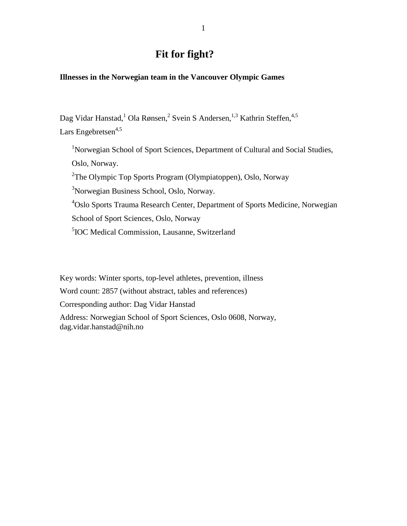# **Fit for fight?**

# **Illnesses in the Norwegian team in the Vancouver Olympic Games**

Dag Vidar Hanstad,<sup>1</sup> Ola Rønsen,<sup>2</sup> Svein S Andersen,<sup>1,3</sup> Kathrin Steffen,<sup>4,5</sup> Lars Engebretsen $4,5$ 

<sup>1</sup>Norwegian School of Sport Sciences, Department of Cultural and Social Studies, Oslo, Norway. <sup>2</sup>The Olympic Top Sports Program (Olympiatoppen), Oslo, Norway <sup>3</sup>Norwegian Business School, Oslo, Norway. 4 Oslo Sports Trauma Research Center, Department of Sports Medicine, Norwegian School of Sport Sciences, Oslo, Norway 5 IOC Medical Commission, Lausanne, Switzerland

Key words: Winter sports, top-level athletes, prevention, illness Word count: 2857 (without abstract, tables and references) Corresponding author: Dag Vidar Hanstad Address: Norwegian School of Sport Sciences, Oslo 0608, Norway, dag.vidar.hanstad@nih.no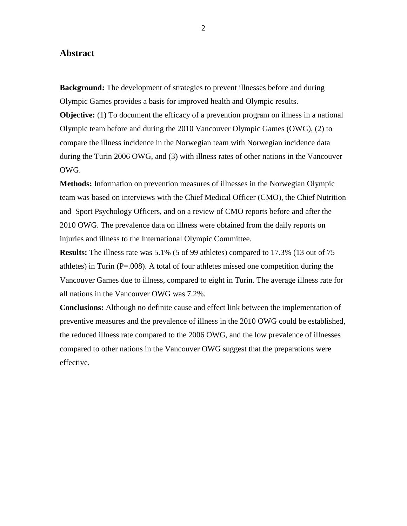### **Abstract**

**Background:** The development of strategies to prevent illnesses before and during Olympic Games provides a basis for improved health and Olympic results. **Objective:** (1) To document the efficacy of a prevention program on illness in a national Olympic team before and during the 2010 Vancouver Olympic Games (OWG), (2) to compare the illness incidence in the Norwegian team with Norwegian incidence data during the Turin 2006 OWG, and (3) with illness rates of other nations in the Vancouver OWG.

**Methods:** Information on prevention measures of illnesses in the Norwegian Olympic team was based on interviews with the Chief Medical Officer (CMO), the Chief Nutrition and Sport Psychology Officers, and on a review of CMO reports before and after the 2010 OWG. The prevalence data on illness were obtained from the daily reports on injuries and illness to the International Olympic Committee.

**Results:** The illness rate was 5.1% (5 of 99 athletes) compared to 17.3% (13 out of 75 athletes) in Turin ( $P=.008$ ). A total of four athletes missed one competition during the Vancouver Games due to illness, compared to eight in Turin. The average illness rate for all nations in the Vancouver OWG was 7.2%.

**Conclusions:** Although no definite cause and effect link between the implementation of preventive measures and the prevalence of illness in the 2010 OWG could be established, the reduced illness rate compared to the 2006 OWG, and the low prevalence of illnesses compared to other nations in the Vancouver OWG suggest that the preparations were effective.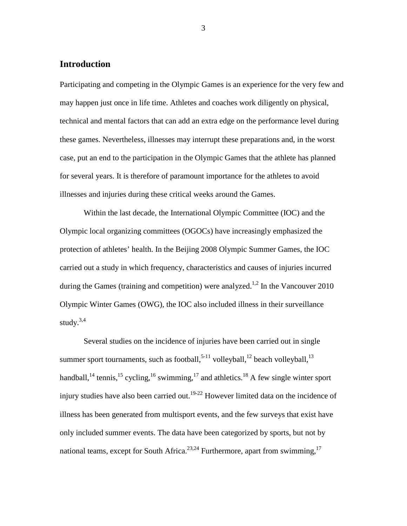# **Introduction**

Participating and competing in the Olympic Games is an experience for the very few and may happen just once in life time. Athletes and coaches work diligently on physical, technical and mental factors that can add an extra edge on the performance level during these games. Nevertheless, illnesses may interrupt these preparations and, in the worst case, put an end to the participation in the Olympic Games that the athlete has planned for several years. It is therefore of paramount importance for the athletes to avoid illnesses and injuries during these critical weeks around the Games.

Within the last decade, the International Olympic Committee (IOC) and the Olympic local organizing committees (OGOCs) have increasingly emphasized the protection of athletes' health. In the Beijing 2008 Olympic Summer Games, the IOC carried out a study in which frequency, characteristics and causes of injuries incurred during the Games (training and competition) were analyzed.<sup>1,2</sup> In the Vancouver 2010 Olympic Winter Games (OWG), the IOC also included illness in their surveillance study. $3,4$ 

Several studies on the incidence of injuries have been carried out in single summer sport tournaments, such as football, $5-11$  volleyball, $12$  beach volleyball, $13$ handball,<sup>14</sup> tennis,<sup>15</sup> cycling,<sup>16</sup> swimming,<sup>17</sup> and athletics.<sup>18</sup> A few single winter sport injury studies have also been carried out.<sup>19-22</sup> However limited data on the incidence of illness has been generated from multisport events, and the few surveys that exist have only included summer events. The data have been categorized by sports, but not by national teams, except for South Africa.<sup>23,24</sup> Furthermore, apart from swimming,<sup>17</sup>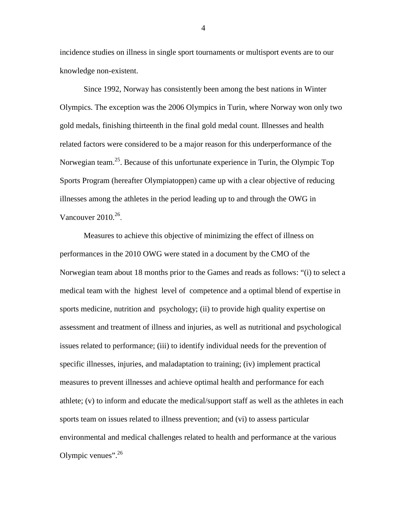incidence studies on illness in single sport tournaments or multisport events are to our knowledge non-existent.

Since 1992, Norway has consistently been among the best nations in Winter Olympics. The exception was the 2006 Olympics in Turin, where Norway won only two gold medals, finishing thirteenth in the final gold medal count. Illnesses and health related factors were considered to be a major reason for this underperformance of the Norwegian team.<sup>25</sup>. Because of this unfortunate experience in Turin, the Olympic Top Sports Program (hereafter Olympiatoppen) came up with a clear objective of reducing illnesses among the athletes in the period leading up to and through the OWG in Vancouver  $2010^{26}$ .

Measures to achieve this objective of minimizing the effect of illness on performances in the 2010 OWG were stated in a document by the CMO of the Norwegian team about 18 months prior to the Games and reads as follows: "(i) to select a medical team with the highest level of competence and a optimal blend of expertise in sports medicine, nutrition and psychology; (ii) to provide high quality expertise on assessment and treatment of illness and injuries, as well as nutritional and psychological issues related to performance; (iii) to identify individual needs for the prevention of specific illnesses, injuries, and maladaptation to training; (iv) implement practical measures to prevent illnesses and achieve optimal health and performance for each athlete; (v) to inform and educate the medical/support staff as well as the athletes in each sports team on issues related to illness prevention; and (vi) to assess particular environmental and medical challenges related to health and performance at the various Olympic venues". $^{26}$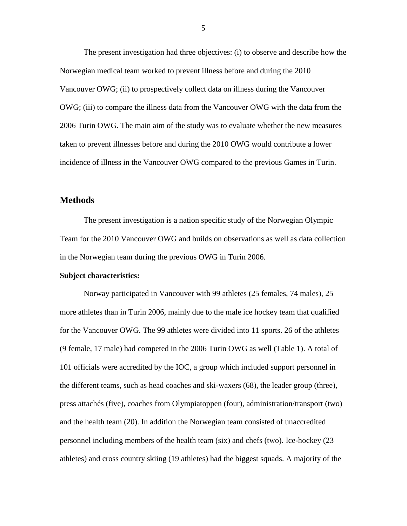The present investigation had three objectives: (i) to observe and describe how the Norwegian medical team worked to prevent illness before and during the 2010 Vancouver OWG; (ii) to prospectively collect data on illness during the Vancouver OWG; (iii) to compare the illness data from the Vancouver OWG with the data from the 2006 Turin OWG. The main aim of the study was to evaluate whether the new measures taken to prevent illnesses before and during the 2010 OWG would contribute a lower incidence of illness in the Vancouver OWG compared to the previous Games in Turin.

### **Methods**

The present investigation is a nation specific study of the Norwegian Olympic Team for the 2010 Vancouver OWG and builds on observations as well as data collection in the Norwegian team during the previous OWG in Turin 2006.

### **Subject characteristics:**

Norway participated in Vancouver with 99 athletes (25 females, 74 males), 25 more athletes than in Turin 2006, mainly due to the male ice hockey team that qualified for the Vancouver OWG. The 99 athletes were divided into 11 sports. 26 of the athletes (9 female, 17 male) had competed in the 2006 Turin OWG as well (Table 1). A total of 101 officials were accredited by the IOC, a group which included support personnel in the different teams, such as head coaches and ski-waxers (68), the leader group (three), press attachés (five), coaches from Olympiatoppen (four), administration/transport (two) and the health team (20). In addition the Norwegian team consisted of unaccredited personnel including members of the health team (six) and chefs (two). Ice-hockey (23 athletes) and cross country skiing (19 athletes) had the biggest squads. A majority of the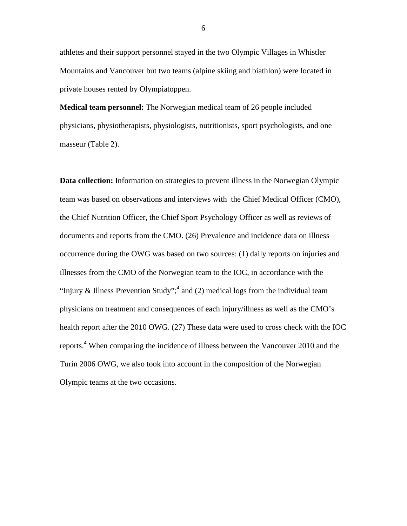athletes and their support personnel stayed in the two Olympic Villages in Whistler Mountains and Vancouver but two teams (alpine skiing and biathlon) were located in private houses rented by Olympiatoppen.

**Medical team personnel:** The Norwegian medical team of 26 people included physicians, physiotherapists, physiologists, nutritionists, sport psychologists, and one masseur (Table 2).

**Data collection:** Information on strategies to prevent illness in the Norwegian Olympic team was based on observations and interviews with the Chief Medical Officer (CMO), the Chief Nutrition Officer, the Chief Sport Psychology Officer as well as reviews of documents and reports from the CMO. (26) Prevalence and incidence data on illness occurrence during the OWG was based on two sources: (1) daily reports on injuries and illnesses from the CMO of the Norwegian team to the IOC, in accordance with the "Injury & Illness Prevention Study";<sup>4</sup> and (2) medical logs from the individual team physicians on treatment and consequences of each injury/illness as well as the CMO's health report after the 2010 OWG. (27) These data were used to cross check with the IOC reports. <sup>4</sup> When comparing the incidence of illness between the Vancouver 2010 and the Turin 2006 OWG, we also took into account in the composition of the Norwegian Olympic teams at the two occasions.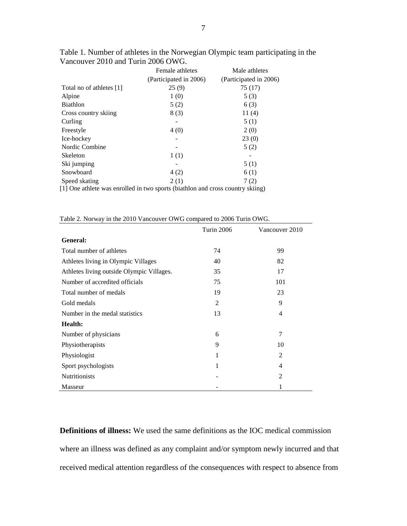|                                                                                | Female athletes<br>(Participated in 2006) | Male athletes<br>(Participated in 2006) |  |  |  |
|--------------------------------------------------------------------------------|-------------------------------------------|-----------------------------------------|--|--|--|
| Total no of athletes [1]                                                       | 25(9)                                     | 75 (17)                                 |  |  |  |
| Alpine                                                                         | 1(0)                                      | 5(3)                                    |  |  |  |
| Biathlon                                                                       | 5(2)                                      | 6(3)                                    |  |  |  |
| Cross country skiing                                                           | 8(3)                                      | 11 $(4)$                                |  |  |  |
| Curling                                                                        |                                           | 5(1)                                    |  |  |  |
| Freestyle                                                                      | 4(0)                                      | 2(0)                                    |  |  |  |
| Ice-hockey                                                                     |                                           | 23(0)                                   |  |  |  |
| Nordic Combine                                                                 |                                           | 5(2)                                    |  |  |  |
| Skeleton                                                                       | 1(1)                                      |                                         |  |  |  |
| Ski jumping                                                                    |                                           | 5(1)                                    |  |  |  |
| Snowboard                                                                      | 4(2)                                      | 6(1)                                    |  |  |  |
| Speed skating                                                                  | 2(1)                                      | 7(2)                                    |  |  |  |
| [1] One athlete was enrolled in two sports (biathlon and cross country skiing) |                                           |                                         |  |  |  |

Table 1. Number of athletes in the Norwegian Olympic team participating in the Vancouver 2010 and Turin 2006 OWG.

|  |  | Table 2. Norway in the 2010 Vancouver OWG compared to 2006 Turin OWG. |  |  |  |
|--|--|-----------------------------------------------------------------------|--|--|--|
|  |  |                                                                       |  |  |  |

|                                           | <b>Turin 2006</b> | Vancouver 2010 |
|-------------------------------------------|-------------------|----------------|
| General:                                  |                   |                |
| Total number of athletes                  | 74                | 99             |
| Athletes living in Olympic Villages       | 40                | 82             |
| Athletes living outside Olympic Villages. | 35                | 17             |
| Number of accredited officials            | 75                | 101            |
| Total number of medals                    | 19                | 23             |
| Gold medals                               | 2                 | 9              |
| Number in the medal statistics            | 13                | $\overline{4}$ |
| <b>Health:</b>                            |                   |                |
| Number of physicians                      | 6                 | $\overline{7}$ |
| Physiotherapists                          | 9                 | 10             |
| Physiologist                              | 1                 | $\mathfrak{D}$ |
| Sport psychologists                       | 1                 | $\overline{4}$ |
| <b>Nutritionists</b>                      |                   | $\overline{2}$ |
| Masseur                                   |                   |                |

**Definitions of illness:** We used the same definitions as the IOC medical commission where an illness was defined as any complaint and/or symptom newly incurred and that received medical attention regardless of the consequences with respect to absence from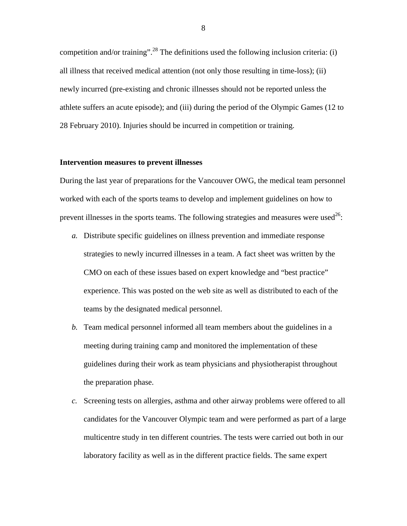competition and/or training".<sup>28</sup> The definitions used the following inclusion criteria: (i) all illness that received medical attention (not only those resulting in time-loss); (ii) newly incurred (pre-existing and chronic illnesses should not be reported unless the athlete suffers an acute episode); and (iii) during the period of the Olympic Games (12 to 28 February 2010). Injuries should be incurred in competition or training.

#### **Intervention measures to prevent illnesses**

During the last year of preparations for the Vancouver OWG, the medical team personnel worked with each of the sports teams to develop and implement guidelines on how to prevent illnesses in the sports teams. The following strategies and measures were used<sup>26</sup>:

- *a.* Distribute specific guidelines on illness prevention and immediate response strategies to newly incurred illnesses in a team. A fact sheet was written by the CMO on each of these issues based on expert knowledge and "best practice" experience. This was posted on the web site as well as distributed to each of the teams by the designated medical personnel.
- *b.* Team medical personnel informed all team members about the guidelines in a meeting during training camp and monitored the implementation of these guidelines during their work as team physicians and physiotherapist throughout the preparation phase.
- *c.* Screening tests on allergies, asthma and other airway problems were offered to all candidates for the Vancouver Olympic team and were performed as part of a large multicentre study in ten different countries. The tests were carried out both in our laboratory facility as well as in the different practice fields. The same expert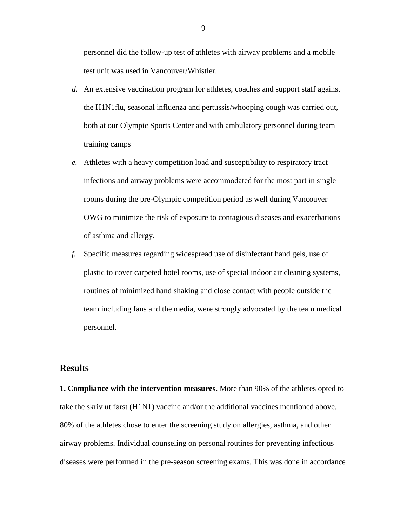personnel did the follow-up test of athletes with airway problems and a mobile test unit was used in Vancouver/Whistler.

- *d.* An extensive vaccination program for athletes, coaches and support staff against the H1N1flu, seasonal influenza and pertussis/whooping cough was carried out, both at our Olympic Sports Center and with ambulatory personnel during team training camps
- *e.* Athletes with a heavy competition load and susceptibility to respiratory tract infections and airway problems were accommodated for the most part in single rooms during the pre-Olympic competition period as well during Vancouver OWG to minimize the risk of exposure to contagious diseases and exacerbations of asthma and allergy.
- *f.* Specific measures regarding widespread use of disinfectant hand gels, use of plastic to cover carpeted hotel rooms, use of special indoor air cleaning systems, routines of minimized hand shaking and close contact with people outside the team including fans and the media, were strongly advocated by the team medical personnel.

# **Results**

**1. Compliance with the intervention measures.** More than 90% of the athletes opted to take the skriv ut først (H1N1) vaccine and/or the additional vaccines mentioned above. 80% of the athletes chose to enter the screening study on allergies, asthma, and other airway problems. Individual counseling on personal routines for preventing infectious diseases were performed in the pre-season screening exams. This was done in accordance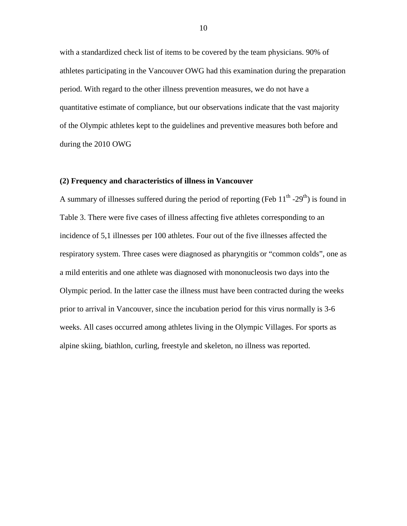with a standardized check list of items to be covered by the team physicians. 90% of athletes participating in the Vancouver OWG had this examination during the preparation period. With regard to the other illness prevention measures, we do not have a quantitative estimate of compliance, but our observations indicate that the vast majority of the Olympic athletes kept to the guidelines and preventive measures both before and during the 2010 OWG

#### **(2) Frequency and characteristics of illness in Vancouver**

A summary of illnesses suffered during the period of reporting (Feb  $11<sup>th</sup>$ -29<sup>th</sup>) is found in Table 3. There were five cases of illness affecting five athletes corresponding to an incidence of 5,1 illnesses per 100 athletes. Four out of the five illnesses affected the respiratory system. Three cases were diagnosed as pharyngitis or "common colds", one as a mild enteritis and one athlete was diagnosed with mononucleosis two days into the Olympic period. In the latter case the illness must have been contracted during the weeks prior to arrival in Vancouver, since the incubation period for this virus normally is 3-6 weeks. All cases occurred among athletes living in the Olympic Villages. For sports as alpine skiing, biathlon, curling, freestyle and skeleton, no illness was reported.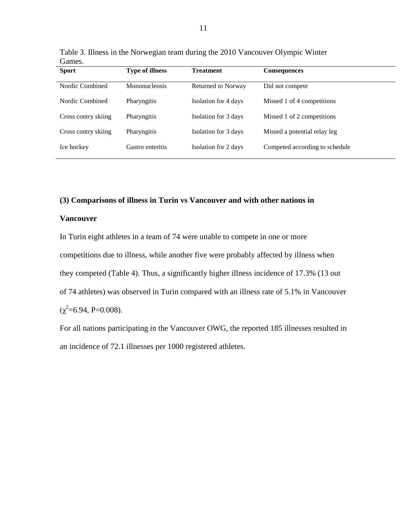| Oames.<br><b>Sport</b> | <b>Type of illness</b> | <b>Treatment</b>     | <b>Consequences</b>            |
|------------------------|------------------------|----------------------|--------------------------------|
| Nordic Combined        | Mononucleosis          | Returned to Norway   | Did not compete                |
| Nordic Combined        | Pharyngitis            | Isolation for 4 days | Missed 1 of 4 competitions     |
| Cross contry skiing    | Pharyngitis            | Isolation for 3 days | Missed 1 of 2 competitions     |
| Cross contry skiing    | Pharyngitis            | Isolation for 3 days | Missed a potential relay leg   |
| Ice hockey             | Gastro enteritis       | Isolation for 2 days | Competed according to schedule |
|                        |                        |                      |                                |

Table 3. Illness in the Norwegian team during the 2010 Vancouver Olympic Winter **Games** 

#### **(3) Comparisons of illness in Turin vs Vancouver and with other nations in**

### **Vancouver**

In Turin eight athletes in a team of 74 were unable to compete in one or more competitions due to illness, while another five were probably affected by illness when they competed (Table 4). Thus, a significantly higher illness incidence of 17.3% (13 out of 74 athletes) was observed in Turin compared with an illness rate of 5.1% in Vancouver  $(\chi^2=6.94, P=0.008).$ 

For all nations participating in the Vancouver OWG, the reported 185 illnesses resulted in an incidence of 72.1 illnesses per 1000 registered athletes.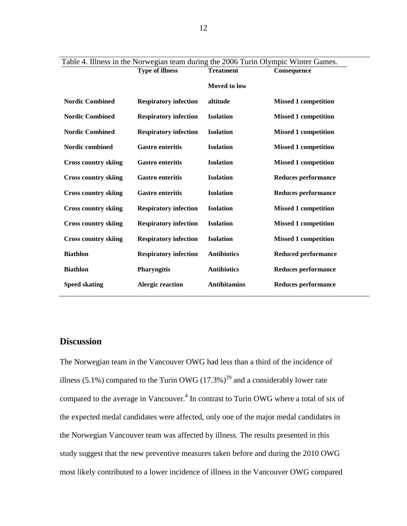|                             | <b>Type of illness</b><br><b>Treatment</b> |                     | Table $\pi$ , mness in the type wegian team during the 2000 Turn Orympic whiter Games.<br>Consequence |  |  |
|-----------------------------|--------------------------------------------|---------------------|-------------------------------------------------------------------------------------------------------|--|--|
|                             |                                            | <b>Moved to low</b> |                                                                                                       |  |  |
| <b>Nordic Combined</b>      | <b>Respiratory infection</b>               | altitude            | <b>Missed 1 competition</b>                                                                           |  |  |
| <b>Nordic Combined</b>      | <b>Respiratory infection</b>               | <b>Isolation</b>    | <b>Missed 1 competition</b>                                                                           |  |  |
| <b>Nordic Combined</b>      | <b>Respiratory infection</b>               | <b>Isolation</b>    | <b>Missed 1 competition</b>                                                                           |  |  |
| Nordic combined             | <b>Gastro enteritis</b>                    | <b>Isolation</b>    | <b>Missed 1 competition</b>                                                                           |  |  |
| <b>Cross country skiing</b> | <b>Gastro enteritis</b>                    | <b>Isolation</b>    | <b>Missed 1 competition</b>                                                                           |  |  |
| <b>Cross country skiing</b> | <b>Gastro enteritis</b>                    | <b>Isolation</b>    | <b>Reduces performance</b>                                                                            |  |  |
| <b>Cross country skiing</b> | <b>Gastro enteritis</b>                    | <b>Isolation</b>    | <b>Reduces performance</b>                                                                            |  |  |
| <b>Cross country skiing</b> | <b>Respiratory infection</b>               | <b>Isolation</b>    | <b>Missed 1 competition</b>                                                                           |  |  |
| <b>Cross country skiing</b> | <b>Respiratory infection</b>               | <b>Isolation</b>    | <b>Missed 1 competition</b>                                                                           |  |  |
| <b>Cross country skiing</b> | <b>Respiratory infection</b>               | <b>Isolation</b>    | <b>Missed 1 competition</b>                                                                           |  |  |
| <b>Biathlon</b>             | <b>Respiratory infection</b>               | <b>Antibiotics</b>  | <b>Reduced performance</b>                                                                            |  |  |
| <b>Biathlon</b>             | <b>Pharyngitis</b>                         | <b>Antibiotics</b>  | <b>Reduces performance</b>                                                                            |  |  |
| <b>Speed skating</b>        | <b>Alergic reaction</b>                    | <b>Antihitamins</b> | <b>Reduces performance</b>                                                                            |  |  |
|                             |                                            |                     |                                                                                                       |  |  |

# Table 4. Illness in the Norwegian team during the 2006 Turin Olympic Winter Games.

# **Discussion**

The Norwegian team in the Vancouver OWG had less than a third of the incidence of illness (5.1%) compared to the Turin OWG (17.3%)<sup>29</sup> and a considerably lower rate compared to the average in Vancouver.<sup>4</sup> In contrast to Turin OWG where a total of six of the expected medal candidates were affected, only one of the major medal candidates in the Norwegian Vancouver team was affected by illness. The results presented in this study suggest that the new preventive measures taken before and during the 2010 OWG most likely contributed to a lower incidence of illness in the Vancouver OWG compared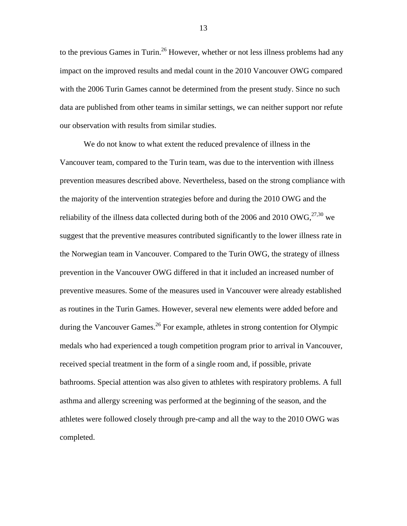to the previous Games in Turin.<sup>26</sup> However, whether or not less illness problems had any impact on the improved results and medal count in the 2010 Vancouver OWG compared with the 2006 Turin Games cannot be determined from the present study. Since no such data are published from other teams in similar settings, we can neither support nor refute our observation with results from similar studies.

We do not know to what extent the reduced prevalence of illness in the Vancouver team, compared to the Turin team, was due to the intervention with illness prevention measures described above. Nevertheless, based on the strong compliance with the majority of the intervention strategies before and during the 2010 OWG and the reliability of the illness data collected during both of the 2006 and 2010 OWG,  $27,30$  we suggest that the preventive measures contributed significantly to the lower illness rate in the Norwegian team in Vancouver. Compared to the Turin OWG, the strategy of illness prevention in the Vancouver OWG differed in that it included an increased number of preventive measures. Some of the measures used in Vancouver were already established as routines in the Turin Games. However, several new elements were added before and during the Vancouver Games.<sup>26</sup> For example, athletes in strong contention for Olympic medals who had experienced a tough competition program prior to arrival in Vancouver, received special treatment in the form of a single room and, if possible, private bathrooms. Special attention was also given to athletes with respiratory problems. A full asthma and allergy screening was performed at the beginning of the season, and the athletes were followed closely through pre-camp and all the way to the 2010 OWG was completed.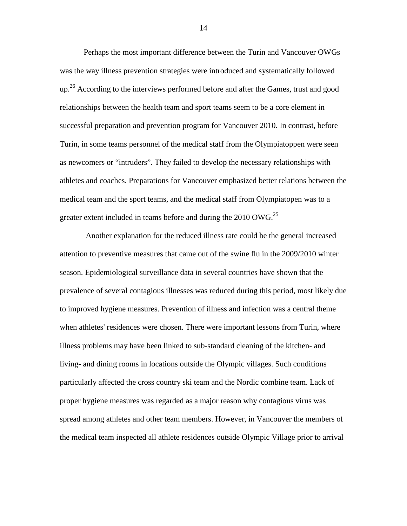Perhaps the most important difference between the Turin and Vancouver OWGs was the way illness prevention strategies were introduced and systematically followed  $up<sup>26</sup>$  According to the interviews performed before and after the Games, trust and good relationships between the health team and sport teams seem to be a core element in successful preparation and prevention program for Vancouver 2010. In contrast, before Turin, in some teams personnel of the medical staff from the Olympiatoppen were seen as newcomers or "intruders". They failed to develop the necessary relationships with athletes and coaches. Preparations for Vancouver emphasized better relations between the medical team and the sport teams, and the medical staff from Olympiatopen was to a greater extent included in teams before and during the 2010 OWG.<sup>25</sup>

Another explanation for the reduced illness rate could be the general increased attention to preventive measures that came out of the swine flu in the 2009/2010 winter season. Epidemiological surveillance data in several countries have shown that the prevalence of several contagious illnesses was reduced during this period, most likely due to improved hygiene measures. Prevention of illness and infection was a central theme when athletes' residences were chosen. There were important lessons from Turin, where illness problems may have been linked to sub-standard cleaning of the kitchen- and living- and dining rooms in locations outside the Olympic villages. Such conditions particularly affected the cross country ski team and the Nordic combine team. Lack of proper hygiene measures was regarded as a major reason why contagious virus was spread among athletes and other team members. However, in Vancouver the members of the medical team inspected all athlete residences outside Olympic Village prior to arrival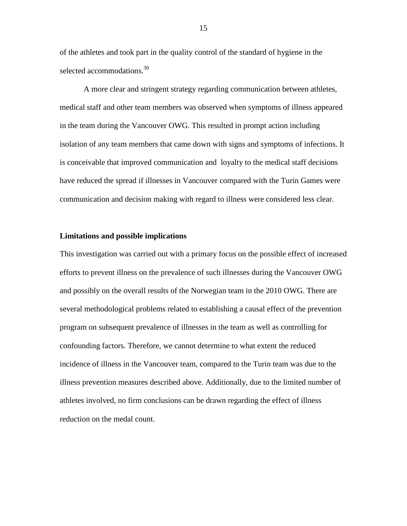of the athletes and took part in the quality control of the standard of hygiene in the selected accommodations.<sup>30</sup>

A more clear and stringent strategy regarding communication between athletes, medical staff and other team members was observed when symptoms of illness appeared in the team during the Vancouver OWG. This resulted in prompt action including isolation of any team members that came down with signs and symptoms of infections. It is conceivable that improved communication and loyalty to the medical staff decisions have reduced the spread if illnesses in Vancouver compared with the Turin Games were communication and decision making with regard to illness were considered less clear.

#### **Limitations and possible implications**

This investigation was carried out with a primary focus on the possible effect of increased efforts to prevent illness on the prevalence of such illnesses during the Vancouver OWG and possibly on the overall results of the Norwegian team in the 2010 OWG. There are several methodological problems related to establishing a causal effect of the prevention program on subsequent prevalence of illnesses in the team as well as controlling for confounding factors. Therefore, we cannot determine to what extent the reduced incidence of illness in the Vancouver team, compared to the Turin team was due to the illness prevention measures described above. Additionally, due to the limited number of athletes involved, no firm conclusions can be drawn regarding the effect of illness reduction on the medal count.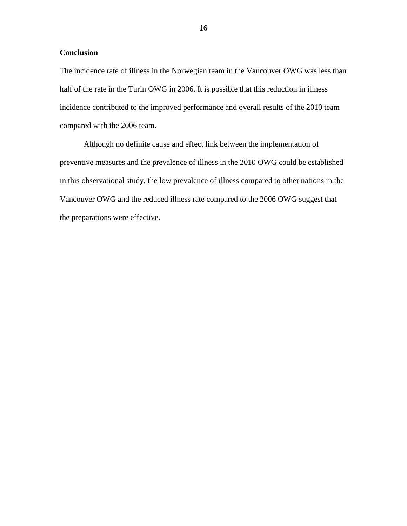### **Conclusion**

The incidence rate of illness in the Norwegian team in the Vancouver OWG was less than half of the rate in the Turin OWG in 2006. It is possible that this reduction in illness incidence contributed to the improved performance and overall results of the 2010 team compared with the 2006 team.

Although no definite cause and effect link between the implementation of preventive measures and the prevalence of illness in the 2010 OWG could be established in this observational study, the low prevalence of illness compared to other nations in the Vancouver OWG and the reduced illness rate compared to the 2006 OWG suggest that the preparations were effective.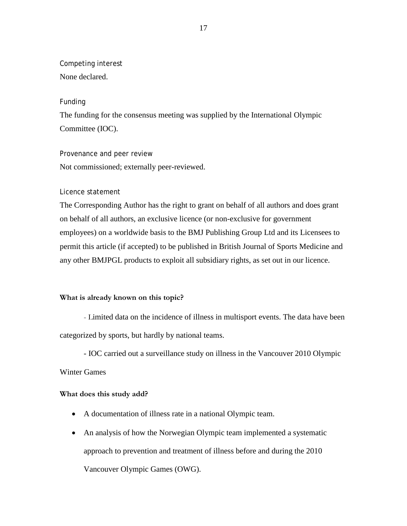# Competing interest

None declared.

# Funding

The funding for the consensus meeting was supplied by the International Olympic Committee (IOC).

Provenance and peer review Not commissioned; externally peer-reviewed.

# Licence statement

The Corresponding Author has the right to grant on behalf of all authors and does grant on behalf of all authors, an exclusive licence (or non-exclusive for government employees) on a worldwide basis to the BMJ Publishing Group Ltd and its Licensees to permit this article (if accepted) to be published in British Journal of Sports Medicine and any other BMJPGL products to exploit all subsidiary rights, as set out in our licence.

# **What is already known on this topic?**

- Limited data on the incidence of illness in multisport events. The data have been categorized by sports, but hardly by national teams.

- IOC carried out a surveillance study on illness in the Vancouver 2010 Olympic

# Winter Games

# **What does this study add?**

- A documentation of illness rate in a national Olympic team.
- An analysis of how the Norwegian Olympic team implemented a systematic approach to prevention and treatment of illness before and during the 2010 Vancouver Olympic Games (OWG).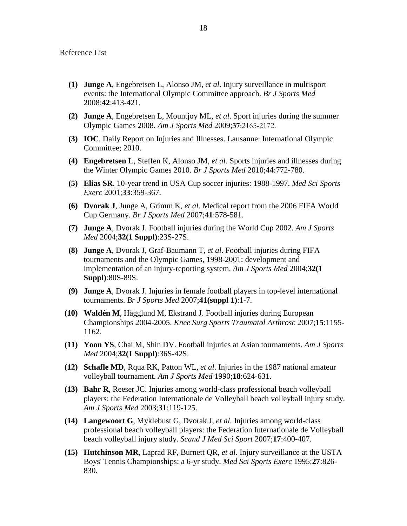- **(1) Junge A**, Engebretsen L, Alonso JM, *et al*. Injury surveillance in multisport events: the International Olympic Committee approach. *Br J Sports Med* 2008;**42**:413-421.
- **(2) Junge A**, Engebretsen L, Mountjoy ML, *et al*. Sport injuries during the summer Olympic Games 2008. *Am J Sports Med* 2009;**37**:2165-2172.
- **(3) IOC**. Daily Report on Injuries and Illnesses. Lausanne: International Olympic Committee; 2010.
- **(4) Engebretsen L**, Steffen K, Alonso JM, *et al*. Sports injuries and illnesses during the Winter Olympic Games 2010. *Br J Sports Med* 2010;**44**:772-780.
- **(5) Elias SR**. 10-year trend in USA Cup soccer injuries: 1988-1997. *Med Sci Sports Exerc* 2001;**33**:359-367.
- **(6) Dvorak J**, Junge A, Grimm K, *et al*. Medical report from the 2006 FIFA World Cup Germany. *Br J Sports Med* 2007;**41**:578-581.
- **(7) Junge A**, Dvorak J. Football injuries during the World Cup 2002. *Am J Sports Med* 2004;**32(1 Suppl)**:23S-27S.
- **(8) Junge A**, Dvorak J, Graf-Baumann T, *et al*. Football injuries during FIFA tournaments and the Olympic Games, 1998-2001: development and implementation of an injury-reporting system. *Am J Sports Med* 2004;**32(1 Suppl)**:80S-89S.
- **(9) Junge A**, Dvorak J. Injuries in female football players in top-level international tournaments. *Br J Sports Med* 2007;**41(suppl 1)**:1-7.
- **(10) Waldén M**, Hägglund M, Ekstrand J. Football injuries during European Championships 2004-2005. *Knee Surg Sports Traumatol Arthrosc* 2007;**15**:1155- 1162.
- **(11) Yoon YS**, Chai M, Shin DV. Football injuries at Asian tournaments. *Am J Sports Med* 2004;**32(1 Suppl)**:36S-42S.
- **(12) Schafle MD**, Rqua RK, Patton WL, *et al*. Injuries in the 1987 national amateur volleyball tournament. *Am J Sports Med* 1990;**18**:624-631.
- **(13) Bahr R**, Reeser JC. Injuries among world-class professional beach volleyball players: the Federation Internationale de Volleyball beach volleyball injury study. *Am J Sports Med* 2003;**31**:119-125.
- **(14) Langewoort G**, Myklebust G, Dvorak J, *et al*. Injuries among world-class professional beach volleyball players: the Federation Internationale de Volleyball beach volleyball injury study. *Scand J Med Sci Sport* 2007;**17**:400-407.
- **(15) Hutchinson MR**, Laprad RF, Burnett QR, *et al*. Injury surveillance at the USTA Boys' Tennis Championships: a 6-yr study. *Med Sci Sports Exerc* 1995;**27**:826- 830.